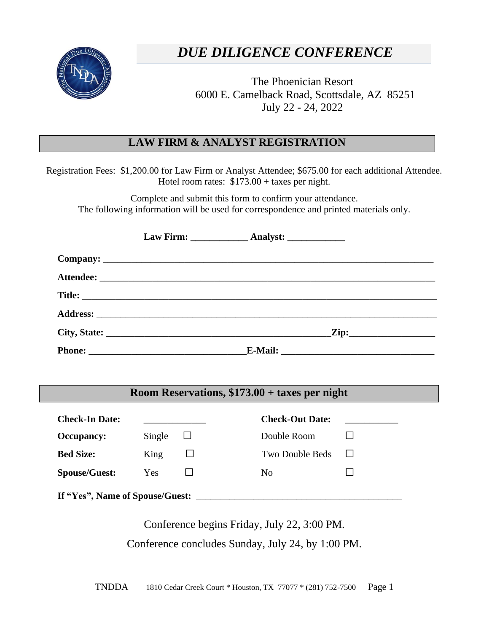

## **BROKER/DEALER REGISTRATION FORM**  *DUE DILIGENCE CONFERENCE*

The Phoenician Resort 6000 E. Camelback Road, Scottsdale, AZ 85251 July 22 - 24, 2022

## **LAW FIRM & ANALYST REGISTRATION**

Registration Fees: \$1,200.00 for Law Firm or Analyst Attendee; \$675.00 for each additional Attendee. Hotel room rates: \$173.00 + taxes per night.

Complete and submit this form to confirm your attendance. The following information will be used for correspondence and printed materials only.

|  | <u>Zip:__________________</u> |
|--|-------------------------------|
|  |                               |

## **Room Reservations, \$173.00 + taxes per night**

| <b>Check-In Date:</b>           |        |  | <b>Check-Out Date:</b> |  |  |  |
|---------------------------------|--------|--|------------------------|--|--|--|
| <b>Occupancy:</b>               | Single |  | Double Room            |  |  |  |
| <b>Bed Size:</b>                | King   |  | Two Double Beds        |  |  |  |
| <b>Spouse/Guest:</b>            | Yes    |  | N <sub>0</sub>         |  |  |  |
| If "Yes", Name of Spouse/Guest: |        |  |                        |  |  |  |

Conference begins Friday, July 22, 3:00 PM. Conference concludes Sunday, July 24, by 1:00 PM.